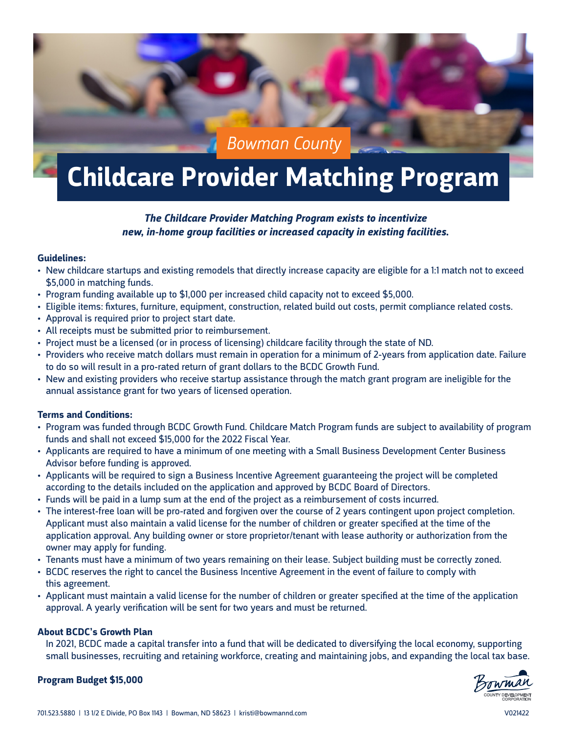# *Bowman County*

# **Childcare Provider Matching Program**

### *The Childcare Provider Matching Program exists to incentivize new, in-home group facilities or increased capacity in existing facilities.*

#### **Guidelines:**

- New childcare startups and existing remodels that directly increase capacity are eligible for a 1:1 match not to exceed \$5,000 in matching funds.
- Program funding available up to \$1,000 per increased child capacity not to exceed \$5,000.
- Eligible items: fixtures, furniture, equipment, construction, related build out costs, permit compliance related costs.
- Approval is required prior to project start date.
- All receipts must be submitted prior to reimbursement.
- Project must be a licensed (or in process of licensing) childcare facility through the state of ND.
- Providers who receive match dollars must remain in operation for a minimum of 2-years from application date. Failure to do so will result in a pro-rated return of grant dollars to the BCDC Growth Fund.
- New and existing providers who receive startup assistance through the match grant program are ineligible for the annual assistance grant for two years of licensed operation.

#### **Terms and Conditions:**

- Program was funded through BCDC Growth Fund. Childcare Match Program funds are subject to availability of program funds and shall not exceed \$15,000 for the 2022 Fiscal Year.
- Applicants are required to have a minimum of one meeting with a Small Business Development Center Business Advisor before funding is approved.
- Applicants will be required to sign a Business Incentive Agreement guaranteeing the project will be completed according to the details included on the application and approved by BCDC Board of Directors.
- Funds will be paid in a lump sum at the end of the project as a reimbursement of costs incurred.
- The interest-free loan will be pro-rated and forgiven over the course of 2 years contingent upon project completion. Applicant must also maintain a valid license for the number of children or greater specified at the time of the application approval. Any building owner or store proprietor/tenant with lease authority or authorization from the owner may apply for funding.
- Tenants must have a minimum of two years remaining on their lease. Subject building must be correctly zoned.
- BCDC reserves the right to cancel the Business Incentive Agreement in the event of failure to comply with this agreement.
- Applicant must maintain a valid license for the number of children or greater specified at the time of the application approval. A yearly verification will be sent for two years and must be returned.

#### **About BCDC's Growth Plan**

In 2021, BCDC made a capital transfer into a fund that will be dedicated to diversifying the local economy, supporting small businesses, recruiting and retaining workforce, creating and maintaining jobs, and expanding the local tax base.

#### **Program Budget \$15,000**